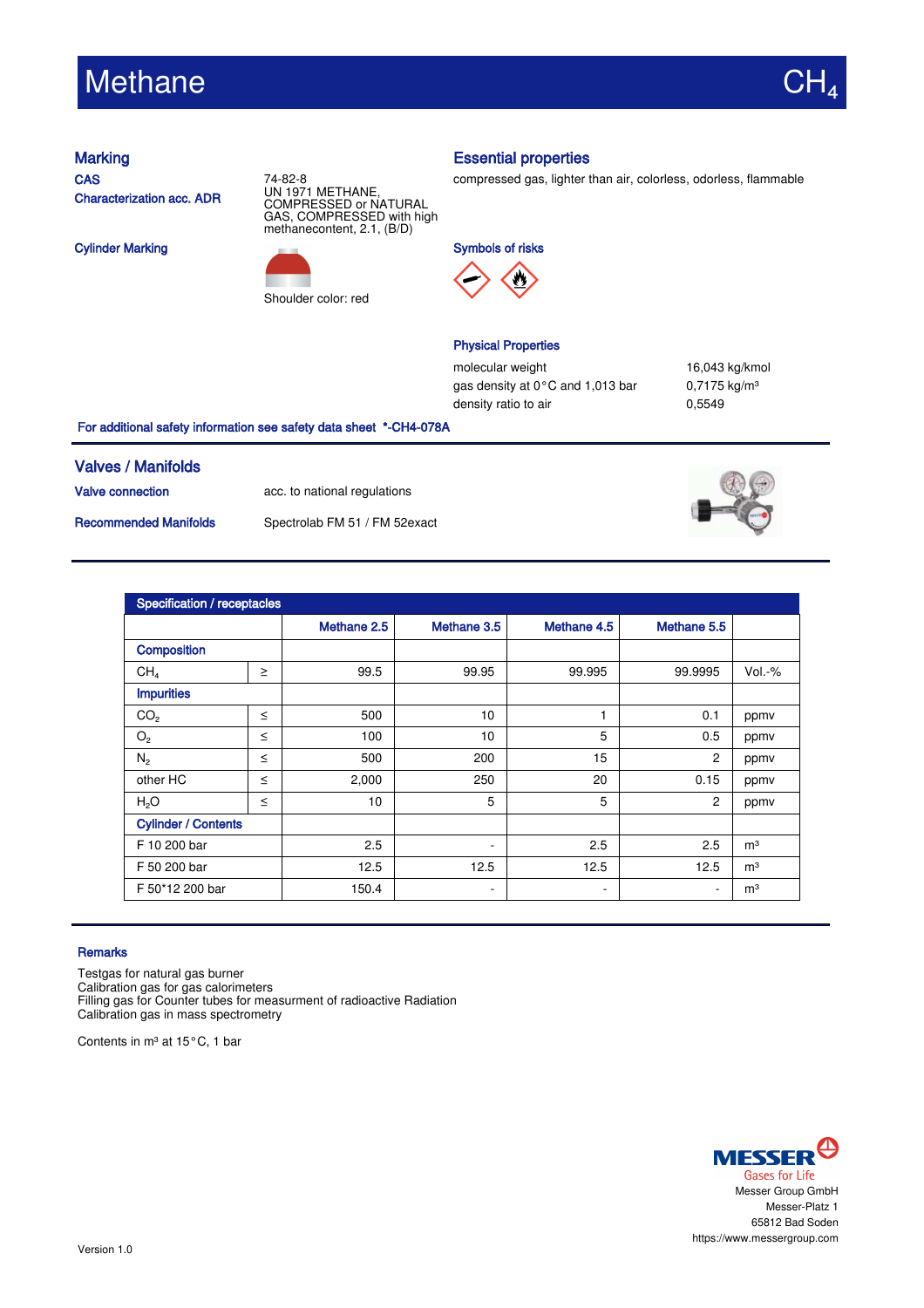# Methane

**CAS** Characterization acc. ADR

Cylinder Marking





## Marking **Essential properties**

compressed gas, lighter than air, colorless, odorless, flammable





# Physical Properties

molecular weight 16,043 kg/kmol gas density at  $0^{\circ}$ C and 1,013 bar 0,7175 kg/m<sup>3</sup> density ratio to air 0,5549

### For additional safety information see safety data sheet \*-CH4-078A

## Valves / Manifolds

Valve connection acc. to national regulations

Recommended Manifolds Spectrolab FM 51 / FM 52exact



| Specification / receptacles |        |             |                          |                          |                |                |  |  |
|-----------------------------|--------|-------------|--------------------------|--------------------------|----------------|----------------|--|--|
|                             |        | Methane 2.5 | Methane 3.5              | Methane 4.5              | Methane 5.5    |                |  |  |
| <b>Composition</b>          |        |             |                          |                          |                |                |  |  |
| CH <sub>4</sub>             | $\geq$ | 99.5        | 99.95                    | 99.995                   | 99.9995        | $Vol.-%$       |  |  |
| <b>Impurities</b>           |        |             |                          |                          |                |                |  |  |
| CO <sub>2</sub>             | $\leq$ | 500         | 10                       |                          | 0.1            | ppmy           |  |  |
| O <sub>2</sub>              | $\leq$ | 100         | 10                       | 5                        | 0.5            | ppmv           |  |  |
| $N_{2}$                     | $\leq$ | 500         | 200                      | 15                       | $\overline{c}$ | ppmv           |  |  |
| other HC                    | $\leq$ | 2,000       | 250                      | 20                       | 0.15           | ppmv           |  |  |
| H <sub>2</sub> O            | $\leq$ | 10          | 5                        | 5                        | 2              | ppmv           |  |  |
| <b>Cylinder / Contents</b>  |        |             |                          |                          |                |                |  |  |
| F 10 200 bar                |        | 2.5         | $\overline{\phantom{a}}$ | 2.5                      | 2.5            | m <sup>3</sup> |  |  |
| F 50 200 bar                |        | 12.5        | 12.5                     | 12.5                     | 12.5           | m <sup>3</sup> |  |  |
| F 50*12 200 bar             |        | 150.4       | $\overline{\phantom{a}}$ | $\overline{\phantom{a}}$ | ٠              | m <sup>3</sup> |  |  |

### **Remarks**

Testgas for natural gas burner Calibration gas for gas calorimeters Filling gas for Counter tubes for measurment of radioactive Radiation Calibration gas in mass spectrometry

Contents in m<sup>3</sup> at 15°C, 1 bar